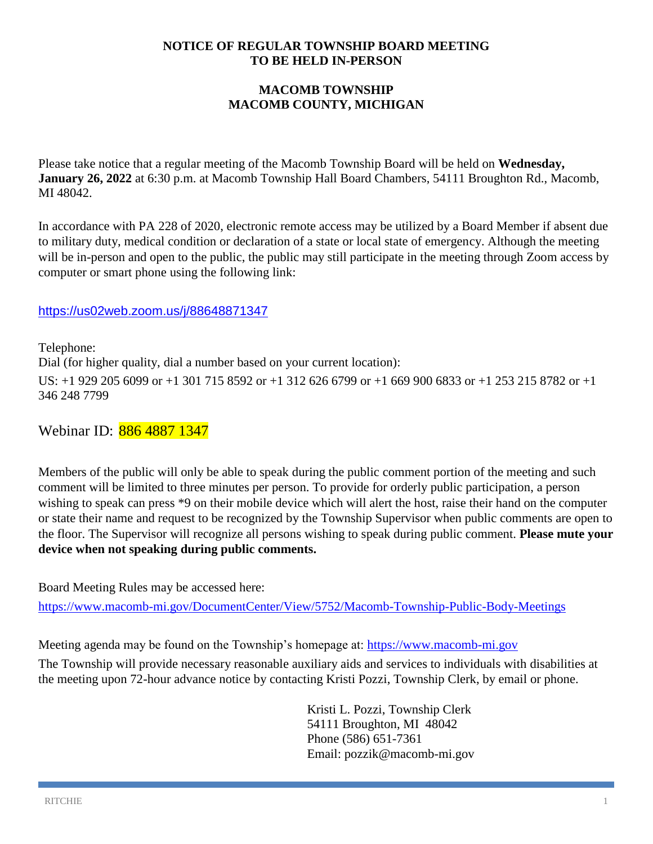### **NOTICE OF REGULAR TOWNSHIP BOARD MEETING TO BE HELD IN-PERSON**

# **MACOMB TOWNSHIP MACOMB COUNTY, MICHIGAN**

Please take notice that a regular meeting of the Macomb Township Board will be held on **Wednesday, January 26, 2022** at 6:30 p.m. at Macomb Township Hall Board Chambers, 54111 Broughton Rd., Macomb, MI 48042.

In accordance with PA 228 of 2020, electronic remote access may be utilized by a Board Member if absent due to military duty, medical condition or declaration of a state or local state of emergency. Although the meeting will be in-person and open to the public, the public may still participate in the meeting through Zoom access by computer or smart phone using the following link:

# <https://us02web.zoom.us/j/88648871347>

Telephone: Dial (for higher quality, dial a number based on your current location): US: +1 929 205 6099 or +1 301 715 8592 or +1 312 626 6799 or +1 669 900 6833 or +1 253 215 8782 or +1 346 248 7799

Webinar ID: 886 4887 1347

Members of the public will only be able to speak during the public comment portion of the meeting and such comment will be limited to three minutes per person. To provide for orderly public participation, a person wishing to speak can press \*9 on their mobile device which will alert the host, raise their hand on the computer or state their name and request to be recognized by the Township Supervisor when public comments are open to the floor. The Supervisor will recognize all persons wishing to speak during public comment. **Please mute your device when not speaking during public comments.**

Board Meeting Rules may be accessed here:

<https://www.macomb-mi.gov/DocumentCenter/View/5752/Macomb-Township-Public-Body-Meetings>

Meeting agenda may be found on the Township's homepage at: [https://www.macomb-mi.gov](https://www.macomb-mi.gov/)

The Township will provide necessary reasonable auxiliary aids and services to individuals with disabilities at the meeting upon 72-hour advance notice by contacting Kristi Pozzi, Township Clerk, by email or phone.

> Kristi L. Pozzi, Township Clerk 54111 Broughton, MI 48042 Phone (586) 651-7361 Email: pozzik@macomb-mi.gov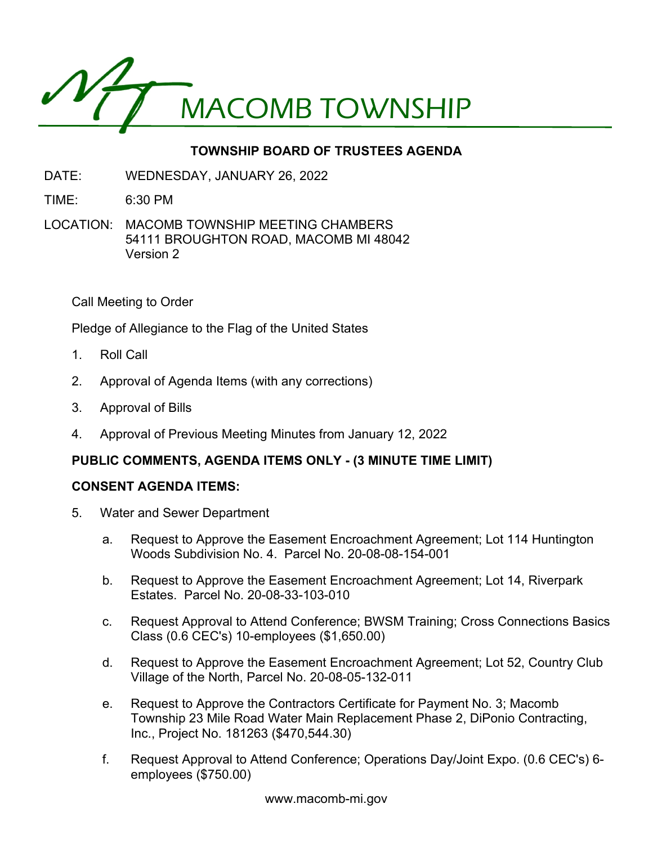

# **TOWNSHIP BOARD OF TRUSTEES AGENDA**

- DATE: WEDNESDAY, JANUARY 26, 2022
- TIME: 6:30 PM
- LOCATION: MACOMB TOWNSHIP MEETING CHAMBERS 54111 BROUGHTON ROAD, MACOMB MI 48042 Version 2

Call Meeting to Order

Pledge of Allegiance to the Flag of the United States

- 1. Roll Call
- 2. Approval of Agenda Items (with any corrections)
- 3. Approval of Bills
- 4. Approval of Previous Meeting Minutes from January 12, 2022

## **PUBLIC COMMENTS, AGENDA ITEMS ONLY - (3 MINUTE TIME LIMIT)**

#### **CONSENT AGENDA ITEMS:**

- 5. Water and Sewer Department
	- a. Request to Approve the Easement Encroachment Agreement; Lot 114 Huntington Woods Subdivision No. 4. Parcel No. 20-08-08-154-001
	- b. Request to Approve the Easement Encroachment Agreement; Lot 14, Riverpark Estates. Parcel No. 20-08-33-103-010
	- c. Request Approval to Attend Conference; BWSM Training; Cross Connections Basics Class (0.6 CEC's) 10-employees (\$1,650.00)
	- d. Request to Approve the Easement Encroachment Agreement; Lot 52, Country Club Village of the North, Parcel No. 20-08-05-132-011
	- e. Request to Approve the Contractors Certificate for Payment No. 3; Macomb Township 23 Mile Road Water Main Replacement Phase 2, DiPonio Contracting, Inc., Project No. 181263 (\$470,544.30)
	- f. Request Approval to Attend Conference; Operations Day/Joint Expo. (0.6 CEC's) 6 employees (\$750.00)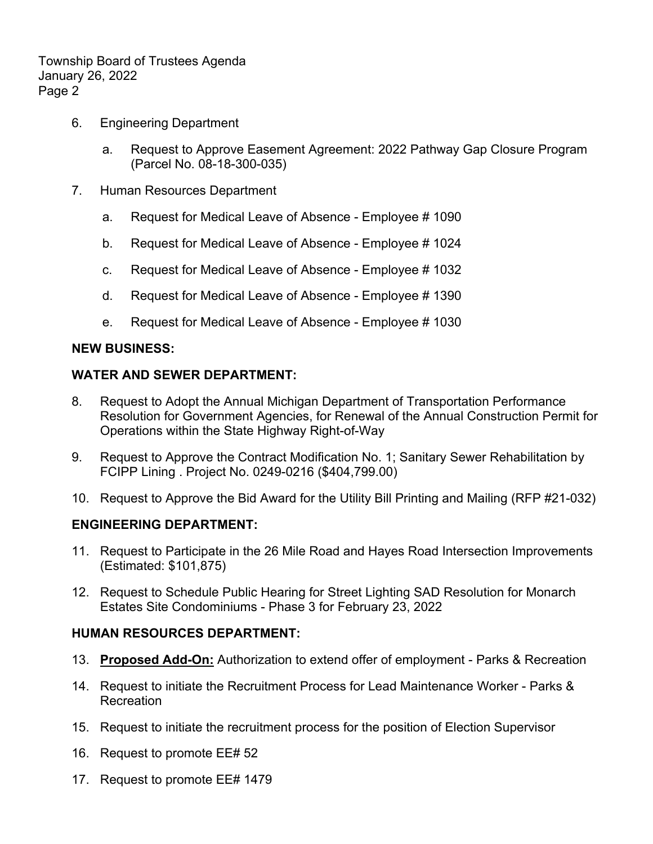Township Board of Trustees Agenda January 26, 2022 Page 2

- 6. Engineering Department
	- a. Request to Approve Easement Agreement: 2022 Pathway Gap Closure Program (Parcel No. 08-18-300-035)
- 7. Human Resources Department
	- a. Request for Medical Leave of Absence Employee # 1090
	- b. Request for Medical Leave of Absence Employee # 1024
	- c. Request for Medical Leave of Absence Employee # 1032
	- d. Request for Medical Leave of Absence Employee # 1390
	- e. Request for Medical Leave of Absence Employee # 1030

#### **NEW BUSINESS:**

#### **WATER AND SEWER DEPARTMENT:**

- 8. Request to Adopt the Annual Michigan Department of Transportation Performance Resolution for Government Agencies, for Renewal of the Annual Construction Permit for Operations within the State Highway Right-of-Way
- 9. Request to Approve the Contract Modification No. 1; Sanitary Sewer Rehabilitation by FCIPP Lining . Project No. 0249-0216 (\$404,799.00)
- 10. Request to Approve the Bid Award for the Utility Bill Printing and Mailing (RFP #21-032)

## **ENGINEERING DEPARTMENT:**

- 11. Request to Participate in the 26 Mile Road and Hayes Road Intersection Improvements (Estimated: \$101,875)
- 12. Request to Schedule Public Hearing for Street Lighting SAD Resolution for Monarch Estates Site Condominiums - Phase 3 for February 23, 2022

#### **HUMAN RESOURCES DEPARTMENT:**

- 13. **Proposed Add-On:** Authorization to extend offer of employment Parks & Recreation
- 14. Request to initiate the Recruitment Process for Lead Maintenance Worker Parks & Recreation
- 15. Request to initiate the recruitment process for the position of Election Supervisor
- 16. Request to promote EE# 52
- 17. Request to promote EE# 1479